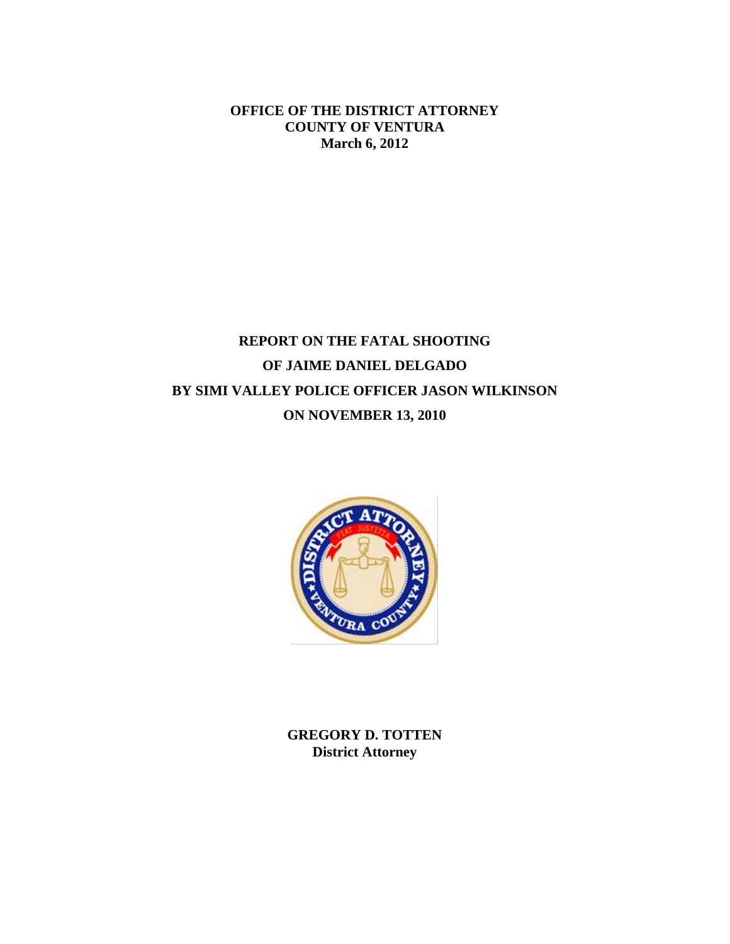**OFFICE OF THE DISTRICT ATTORNEY COUNTY OF VENTURA March 6, 2012**

# **REPORT ON THE FATAL SHOOTING OF JAIME DANIEL DELGADO BY SIMI VALLEY POLICE OFFICER JASON WILKINSON ON NOVEMBER 13, 2010**



**GREGORY D. TOTTEN District Attorney**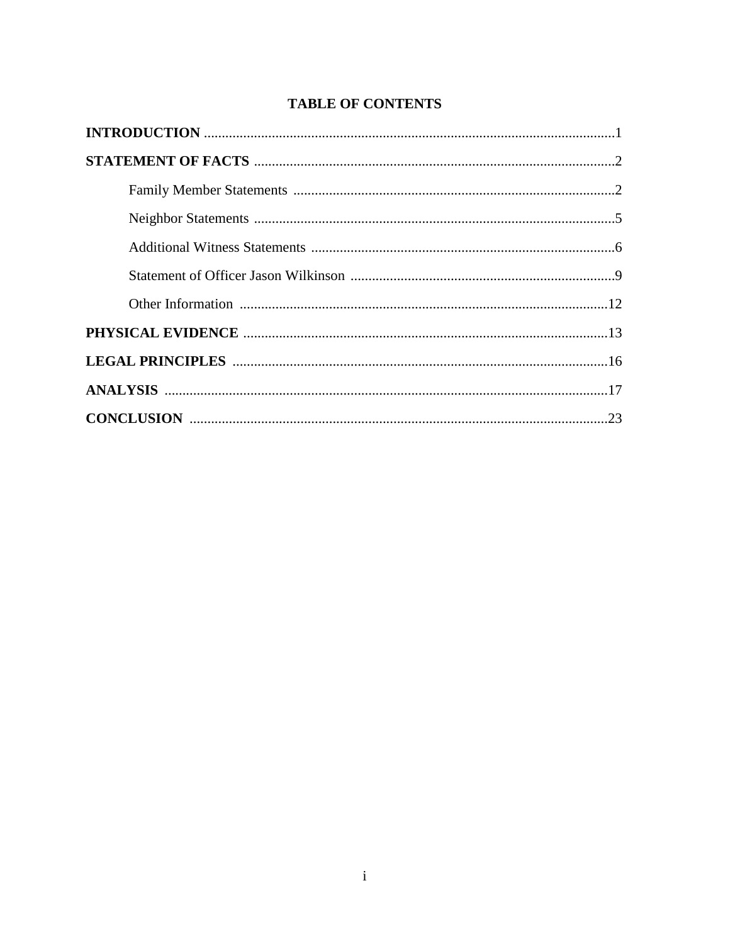# **TABLE OF CONTENTS**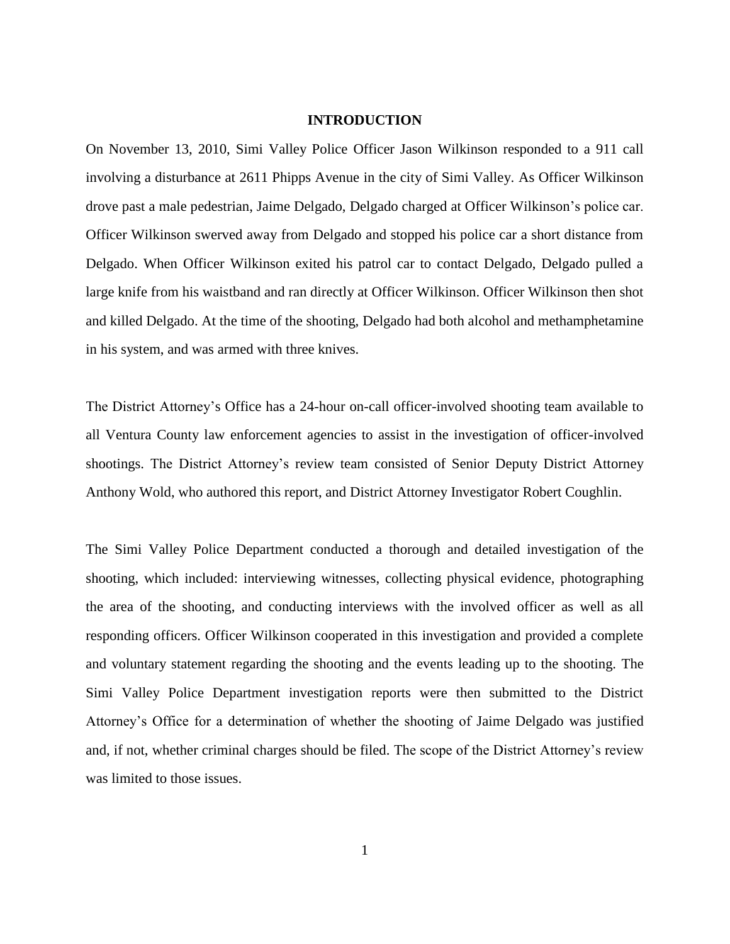#### **INTRODUCTION**

On November 13, 2010, Simi Valley Police Officer Jason Wilkinson responded to a 911 call involving a disturbance at 2611 Phipps Avenue in the city of Simi Valley. As Officer Wilkinson drove past a male pedestrian, Jaime Delgado, Delgado charged at Officer Wilkinson's police car. Officer Wilkinson swerved away from Delgado and stopped his police car a short distance from Delgado. When Officer Wilkinson exited his patrol car to contact Delgado, Delgado pulled a large knife from his waistband and ran directly at Officer Wilkinson. Officer Wilkinson then shot and killed Delgado. At the time of the shooting, Delgado had both alcohol and methamphetamine in his system, and was armed with three knives.

The District Attorney's Office has a 24-hour on-call officer-involved shooting team available to all Ventura County law enforcement agencies to assist in the investigation of officer-involved shootings. The District Attorney's review team consisted of Senior Deputy District Attorney Anthony Wold, who authored this report, and District Attorney Investigator Robert Coughlin.

The Simi Valley Police Department conducted a thorough and detailed investigation of the shooting, which included: interviewing witnesses, collecting physical evidence, photographing the area of the shooting, and conducting interviews with the involved officer as well as all responding officers. Officer Wilkinson cooperated in this investigation and provided a complete and voluntary statement regarding the shooting and the events leading up to the shooting. The Simi Valley Police Department investigation reports were then submitted to the District Attorney's Office for a determination of whether the shooting of Jaime Delgado was justified and, if not, whether criminal charges should be filed. The scope of the District Attorney's review was limited to those issues.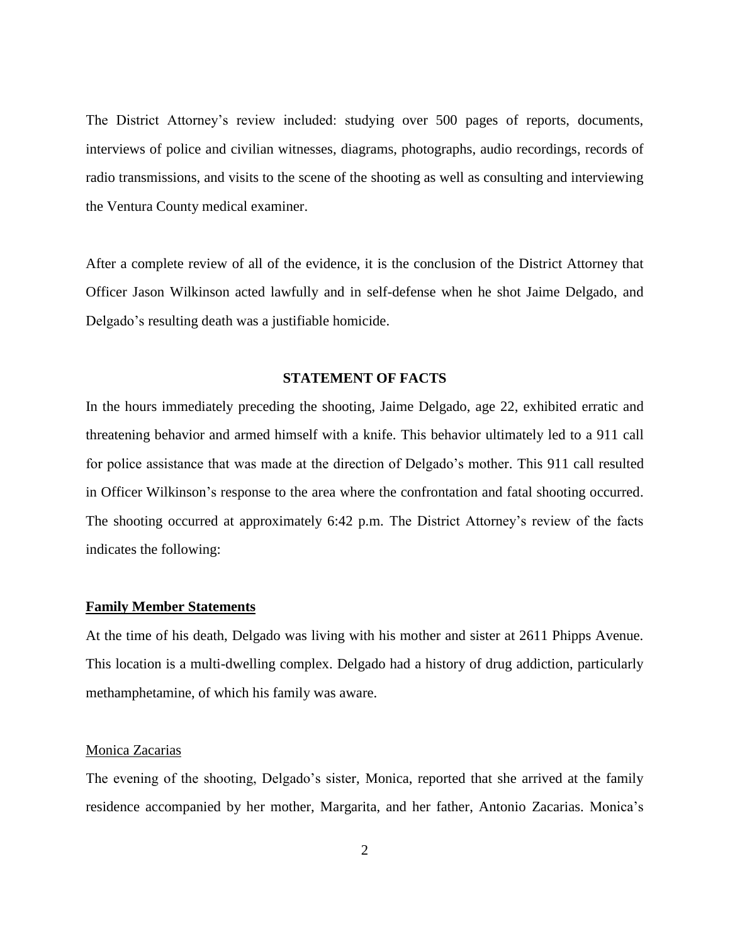The District Attorney's review included: studying over 500 pages of reports, documents, interviews of police and civilian witnesses, diagrams, photographs, audio recordings, records of radio transmissions, and visits to the scene of the shooting as well as consulting and interviewing the Ventura County medical examiner.

After a complete review of all of the evidence, it is the conclusion of the District Attorney that Officer Jason Wilkinson acted lawfully and in self-defense when he shot Jaime Delgado, and Delgado's resulting death was a justifiable homicide.

# **STATEMENT OF FACTS**

In the hours immediately preceding the shooting, Jaime Delgado, age 22, exhibited erratic and threatening behavior and armed himself with a knife. This behavior ultimately led to a 911 call for police assistance that was made at the direction of Delgado's mother. This 911 call resulted in Officer Wilkinson's response to the area where the confrontation and fatal shooting occurred. The shooting occurred at approximately 6:42 p.m. The District Attorney's review of the facts indicates the following:

#### **Family Member Statements**

At the time of his death, Delgado was living with his mother and sister at 2611 Phipps Avenue. This location is a multi-dwelling complex. Delgado had a history of drug addiction, particularly methamphetamine, of which his family was aware.

# Monica Zacarias

The evening of the shooting, Delgado's sister, Monica, reported that she arrived at the family residence accompanied by her mother, Margarita, and her father, Antonio Zacarias. Monica's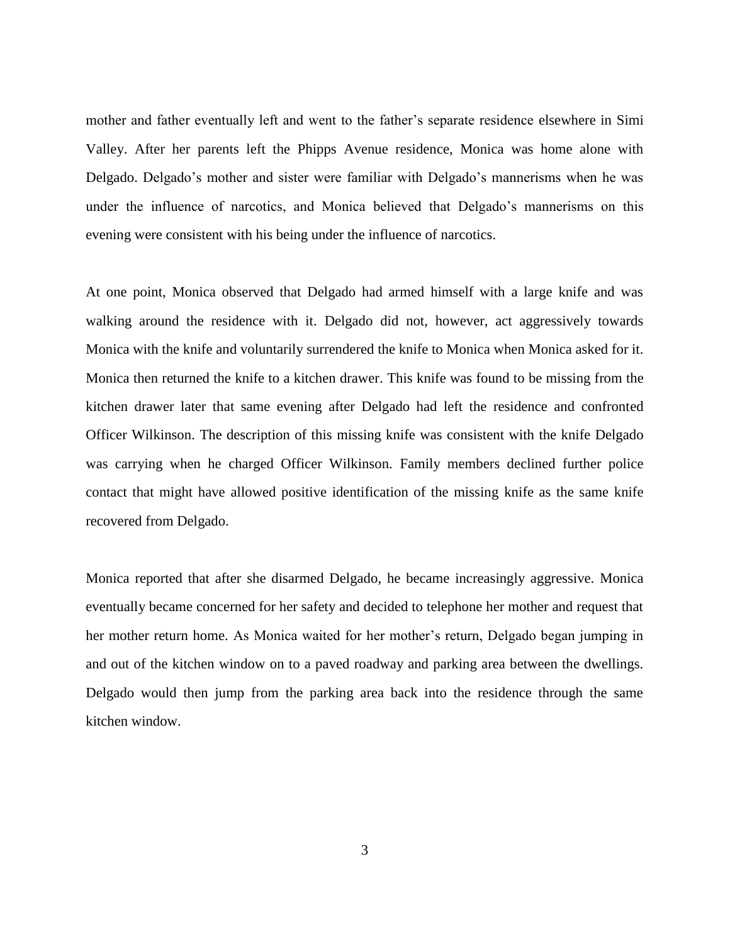mother and father eventually left and went to the father's separate residence elsewhere in Simi Valley. After her parents left the Phipps Avenue residence, Monica was home alone with Delgado. Delgado's mother and sister were familiar with Delgado's mannerisms when he was under the influence of narcotics, and Monica believed that Delgado's mannerisms on this evening were consistent with his being under the influence of narcotics.

At one point, Monica observed that Delgado had armed himself with a large knife and was walking around the residence with it. Delgado did not, however, act aggressively towards Monica with the knife and voluntarily surrendered the knife to Monica when Monica asked for it. Monica then returned the knife to a kitchen drawer. This knife was found to be missing from the kitchen drawer later that same evening after Delgado had left the residence and confronted Officer Wilkinson. The description of this missing knife was consistent with the knife Delgado was carrying when he charged Officer Wilkinson. Family members declined further police contact that might have allowed positive identification of the missing knife as the same knife recovered from Delgado.

Monica reported that after she disarmed Delgado, he became increasingly aggressive. Monica eventually became concerned for her safety and decided to telephone her mother and request that her mother return home. As Monica waited for her mother's return, Delgado began jumping in and out of the kitchen window on to a paved roadway and parking area between the dwellings. Delgado would then jump from the parking area back into the residence through the same kitchen window.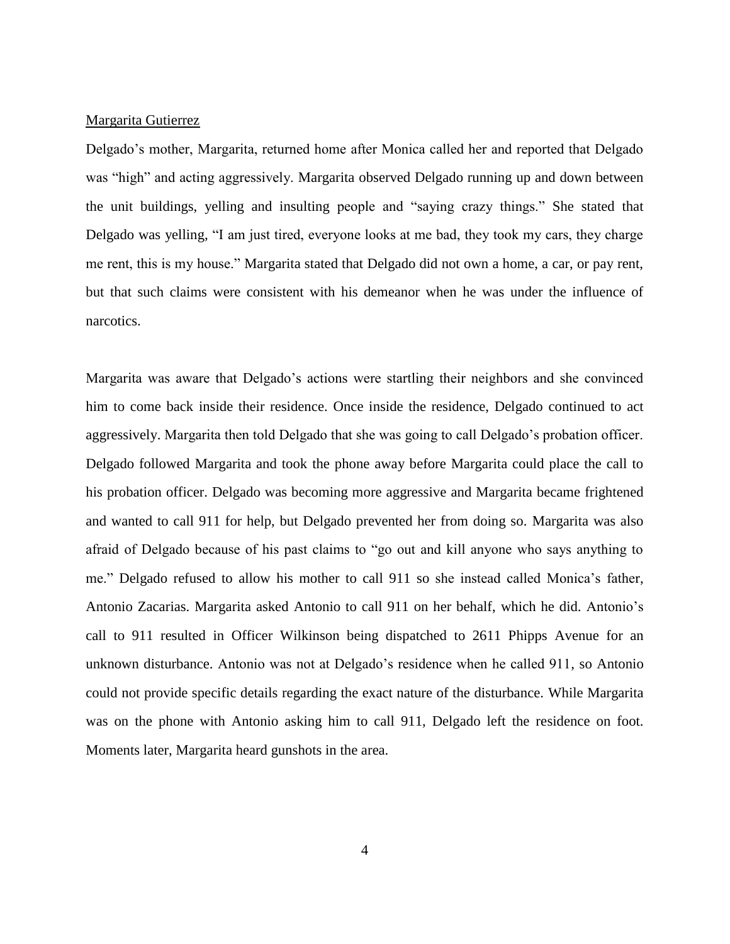# Margarita Gutierrez

Delgado's mother, Margarita, returned home after Monica called her and reported that Delgado was "high" and acting aggressively. Margarita observed Delgado running up and down between the unit buildings, yelling and insulting people and "saying crazy things." She stated that Delgado was yelling, "I am just tired, everyone looks at me bad, they took my cars, they charge me rent, this is my house." Margarita stated that Delgado did not own a home, a car, or pay rent, but that such claims were consistent with his demeanor when he was under the influence of narcotics.

Margarita was aware that Delgado's actions were startling their neighbors and she convinced him to come back inside their residence. Once inside the residence, Delgado continued to act aggressively. Margarita then told Delgado that she was going to call Delgado's probation officer. Delgado followed Margarita and took the phone away before Margarita could place the call to his probation officer. Delgado was becoming more aggressive and Margarita became frightened and wanted to call 911 for help, but Delgado prevented her from doing so. Margarita was also afraid of Delgado because of his past claims to "go out and kill anyone who says anything to me." Delgado refused to allow his mother to call 911 so she instead called Monica's father, Antonio Zacarias. Margarita asked Antonio to call 911 on her behalf, which he did. Antonio's call to 911 resulted in Officer Wilkinson being dispatched to 2611 Phipps Avenue for an unknown disturbance. Antonio was not at Delgado's residence when he called 911, so Antonio could not provide specific details regarding the exact nature of the disturbance. While Margarita was on the phone with Antonio asking him to call 911, Delgado left the residence on foot. Moments later, Margarita heard gunshots in the area.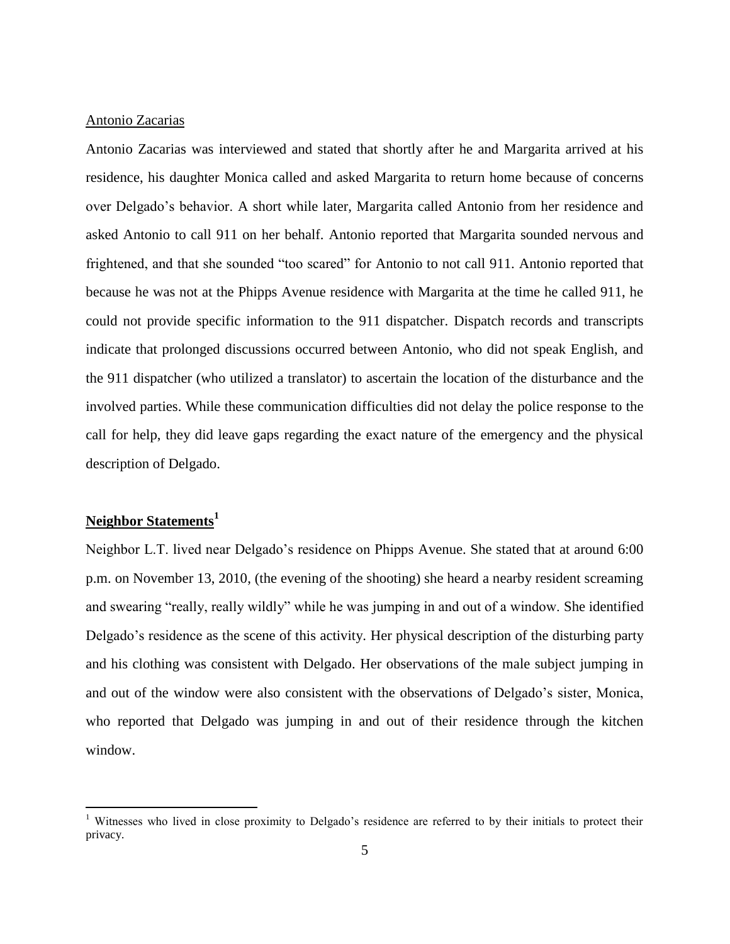# Antonio Zacarias

Antonio Zacarias was interviewed and stated that shortly after he and Margarita arrived at his residence, his daughter Monica called and asked Margarita to return home because of concerns over Delgado's behavior. A short while later, Margarita called Antonio from her residence and asked Antonio to call 911 on her behalf. Antonio reported that Margarita sounded nervous and frightened, and that she sounded "too scared" for Antonio to not call 911. Antonio reported that because he was not at the Phipps Avenue residence with Margarita at the time he called 911, he could not provide specific information to the 911 dispatcher. Dispatch records and transcripts indicate that prolonged discussions occurred between Antonio, who did not speak English, and the 911 dispatcher (who utilized a translator) to ascertain the location of the disturbance and the involved parties. While these communication difficulties did not delay the police response to the call for help, they did leave gaps regarding the exact nature of the emergency and the physical description of Delgado.

# **Neighbor Statements<sup>1</sup>**

 $\overline{a}$ 

Neighbor L.T. lived near Delgado's residence on Phipps Avenue. She stated that at around 6:00 p.m. on November 13, 2010, (the evening of the shooting) she heard a nearby resident screaming and swearing "really, really wildly" while he was jumping in and out of a window. She identified Delgado's residence as the scene of this activity. Her physical description of the disturbing party and his clothing was consistent with Delgado. Her observations of the male subject jumping in and out of the window were also consistent with the observations of Delgado's sister, Monica, who reported that Delgado was jumping in and out of their residence through the kitchen window.

<sup>&</sup>lt;sup>1</sup> Witnesses who lived in close proximity to Delgado's residence are referred to by their initials to protect their privacy.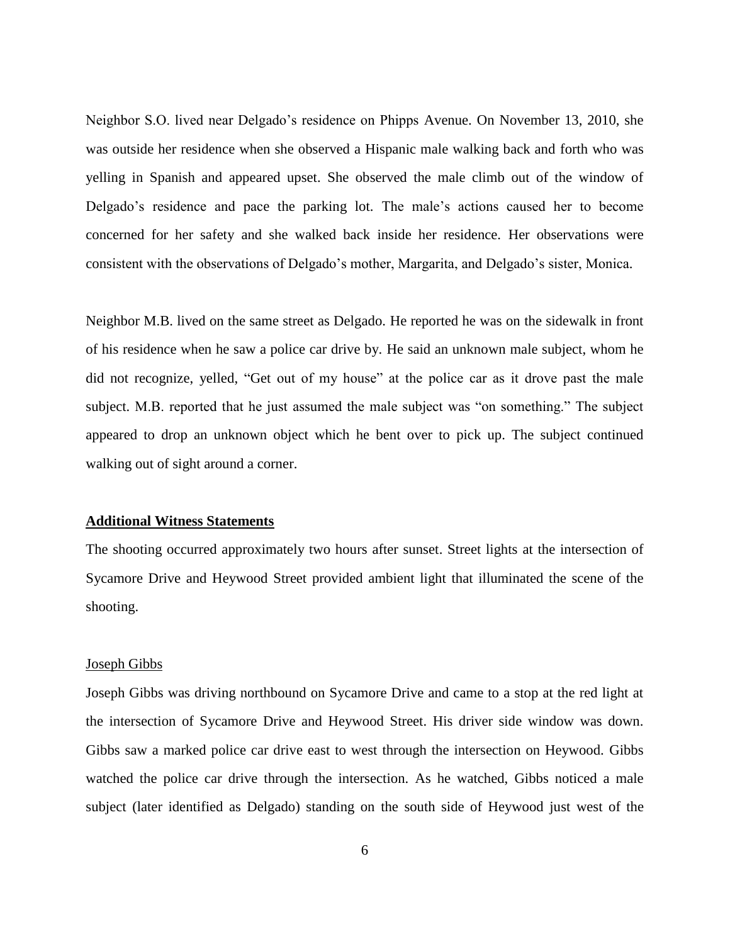Neighbor S.O. lived near Delgado's residence on Phipps Avenue. On November 13, 2010, she was outside her residence when she observed a Hispanic male walking back and forth who was yelling in Spanish and appeared upset. She observed the male climb out of the window of Delgado's residence and pace the parking lot. The male's actions caused her to become concerned for her safety and she walked back inside her residence. Her observations were consistent with the observations of Delgado's mother, Margarita, and Delgado's sister, Monica.

Neighbor M.B. lived on the same street as Delgado. He reported he was on the sidewalk in front of his residence when he saw a police car drive by. He said an unknown male subject, whom he did not recognize, yelled, "Get out of my house" at the police car as it drove past the male subject. M.B. reported that he just assumed the male subject was "on something." The subject appeared to drop an unknown object which he bent over to pick up. The subject continued walking out of sight around a corner.

#### **Additional Witness Statements**

The shooting occurred approximately two hours after sunset. Street lights at the intersection of Sycamore Drive and Heywood Street provided ambient light that illuminated the scene of the shooting.

#### Joseph Gibbs

Joseph Gibbs was driving northbound on Sycamore Drive and came to a stop at the red light at the intersection of Sycamore Drive and Heywood Street. His driver side window was down. Gibbs saw a marked police car drive east to west through the intersection on Heywood. Gibbs watched the police car drive through the intersection. As he watched, Gibbs noticed a male subject (later identified as Delgado) standing on the south side of Heywood just west of the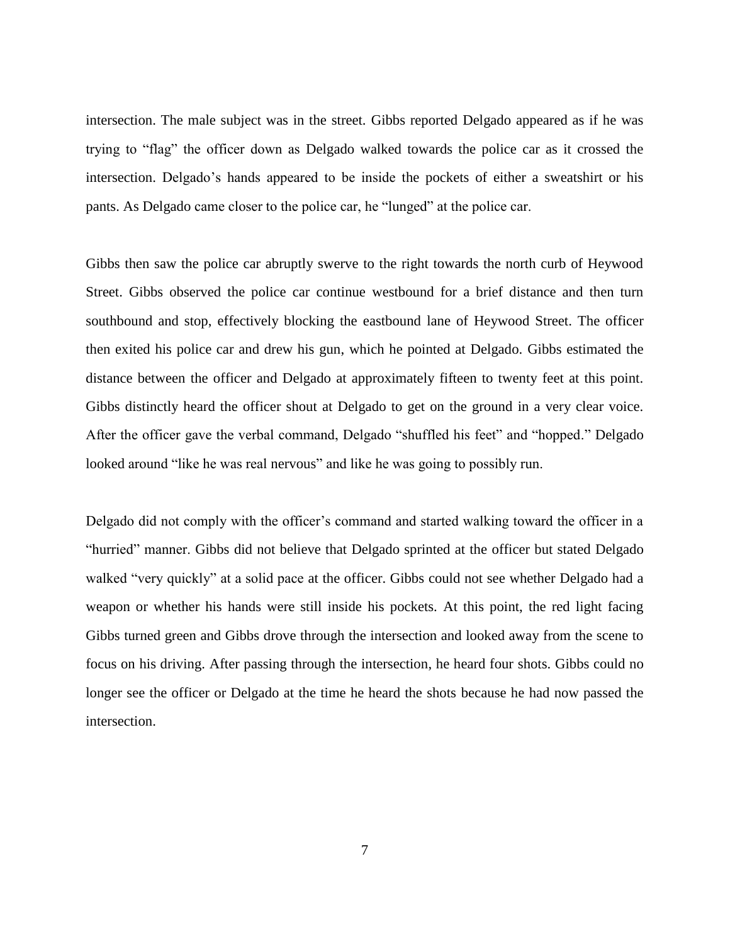intersection. The male subject was in the street. Gibbs reported Delgado appeared as if he was trying to "flag" the officer down as Delgado walked towards the police car as it crossed the intersection. Delgado's hands appeared to be inside the pockets of either a sweatshirt or his pants. As Delgado came closer to the police car, he "lunged" at the police car.

Gibbs then saw the police car abruptly swerve to the right towards the north curb of Heywood Street. Gibbs observed the police car continue westbound for a brief distance and then turn southbound and stop, effectively blocking the eastbound lane of Heywood Street. The officer then exited his police car and drew his gun, which he pointed at Delgado. Gibbs estimated the distance between the officer and Delgado at approximately fifteen to twenty feet at this point. Gibbs distinctly heard the officer shout at Delgado to get on the ground in a very clear voice. After the officer gave the verbal command, Delgado "shuffled his feet" and "hopped." Delgado looked around "like he was real nervous" and like he was going to possibly run.

Delgado did not comply with the officer's command and started walking toward the officer in a "hurried" manner. Gibbs did not believe that Delgado sprinted at the officer but stated Delgado walked "very quickly" at a solid pace at the officer. Gibbs could not see whether Delgado had a weapon or whether his hands were still inside his pockets. At this point, the red light facing Gibbs turned green and Gibbs drove through the intersection and looked away from the scene to focus on his driving. After passing through the intersection, he heard four shots. Gibbs could no longer see the officer or Delgado at the time he heard the shots because he had now passed the intersection.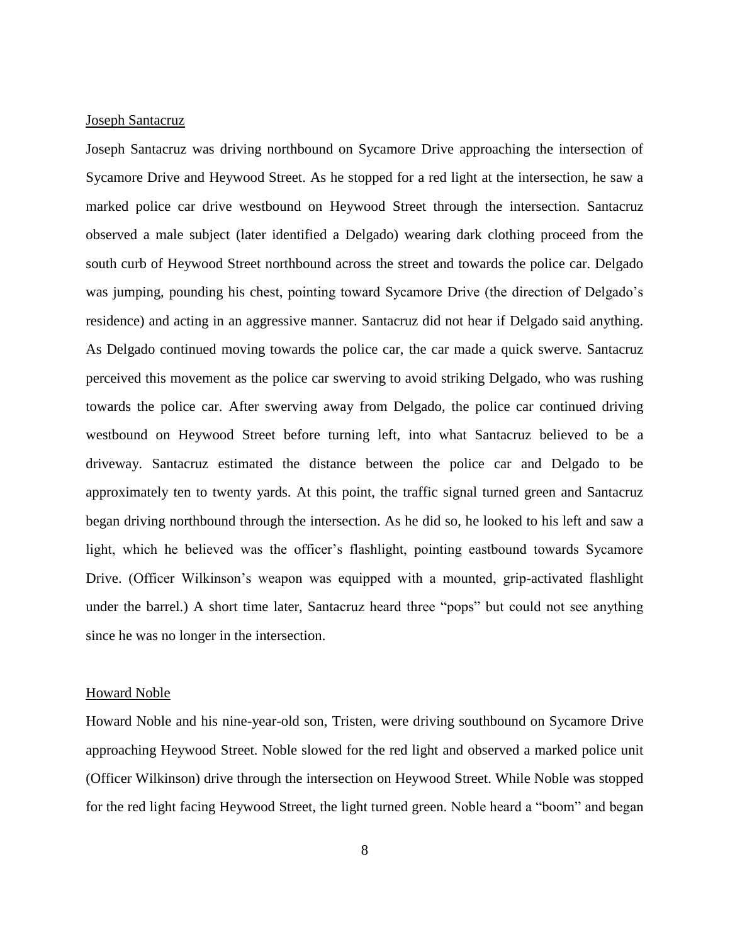# Joseph Santacruz

Joseph Santacruz was driving northbound on Sycamore Drive approaching the intersection of Sycamore Drive and Heywood Street. As he stopped for a red light at the intersection, he saw a marked police car drive westbound on Heywood Street through the intersection. Santacruz observed a male subject (later identified a Delgado) wearing dark clothing proceed from the south curb of Heywood Street northbound across the street and towards the police car. Delgado was jumping, pounding his chest, pointing toward Sycamore Drive (the direction of Delgado's residence) and acting in an aggressive manner. Santacruz did not hear if Delgado said anything. As Delgado continued moving towards the police car, the car made a quick swerve. Santacruz perceived this movement as the police car swerving to avoid striking Delgado, who was rushing towards the police car. After swerving away from Delgado, the police car continued driving westbound on Heywood Street before turning left, into what Santacruz believed to be a driveway. Santacruz estimated the distance between the police car and Delgado to be approximately ten to twenty yards. At this point, the traffic signal turned green and Santacruz began driving northbound through the intersection. As he did so, he looked to his left and saw a light, which he believed was the officer's flashlight, pointing eastbound towards Sycamore Drive. (Officer Wilkinson's weapon was equipped with a mounted, grip-activated flashlight under the barrel.) A short time later, Santacruz heard three "pops" but could not see anything since he was no longer in the intersection.

#### Howard Noble

Howard Noble and his nine-year-old son, Tristen, were driving southbound on Sycamore Drive approaching Heywood Street. Noble slowed for the red light and observed a marked police unit (Officer Wilkinson) drive through the intersection on Heywood Street. While Noble was stopped for the red light facing Heywood Street, the light turned green. Noble heard a "boom" and began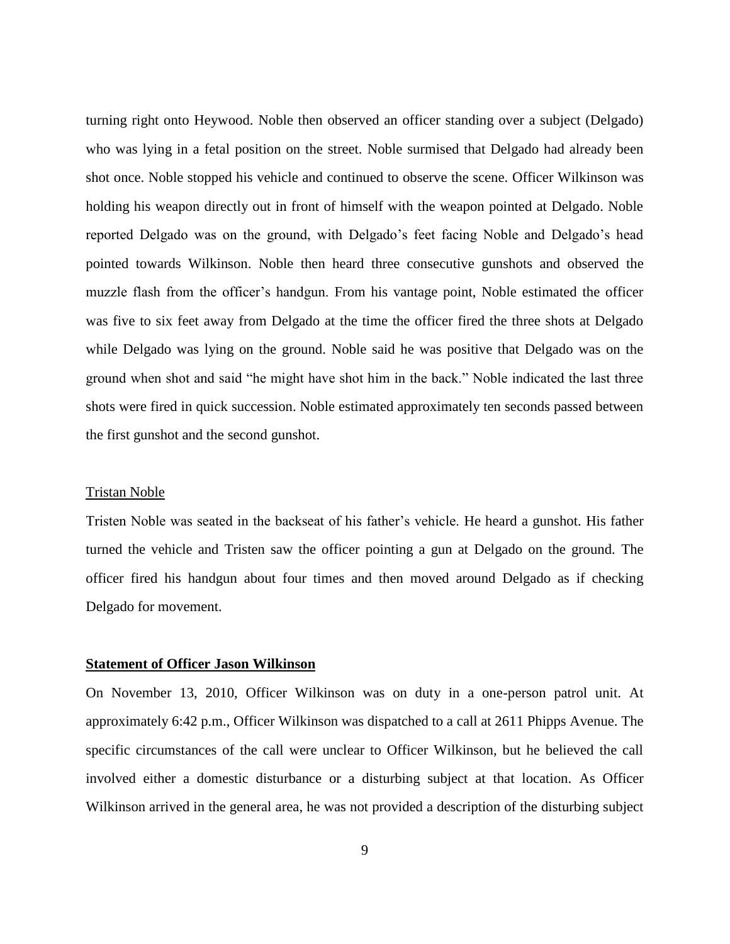turning right onto Heywood. Noble then observed an officer standing over a subject (Delgado) who was lying in a fetal position on the street. Noble surmised that Delgado had already been shot once. Noble stopped his vehicle and continued to observe the scene. Officer Wilkinson was holding his weapon directly out in front of himself with the weapon pointed at Delgado. Noble reported Delgado was on the ground, with Delgado's feet facing Noble and Delgado's head pointed towards Wilkinson. Noble then heard three consecutive gunshots and observed the muzzle flash from the officer's handgun. From his vantage point, Noble estimated the officer was five to six feet away from Delgado at the time the officer fired the three shots at Delgado while Delgado was lying on the ground. Noble said he was positive that Delgado was on the ground when shot and said "he might have shot him in the back." Noble indicated the last three shots were fired in quick succession. Noble estimated approximately ten seconds passed between the first gunshot and the second gunshot.

#### Tristan Noble

Tristen Noble was seated in the backseat of his father's vehicle. He heard a gunshot. His father turned the vehicle and Tristen saw the officer pointing a gun at Delgado on the ground. The officer fired his handgun about four times and then moved around Delgado as if checking Delgado for movement.

# **Statement of Officer Jason Wilkinson**

On November 13, 2010, Officer Wilkinson was on duty in a one-person patrol unit. At approximately 6:42 p.m., Officer Wilkinson was dispatched to a call at 2611 Phipps Avenue. The specific circumstances of the call were unclear to Officer Wilkinson, but he believed the call involved either a domestic disturbance or a disturbing subject at that location. As Officer Wilkinson arrived in the general area, he was not provided a description of the disturbing subject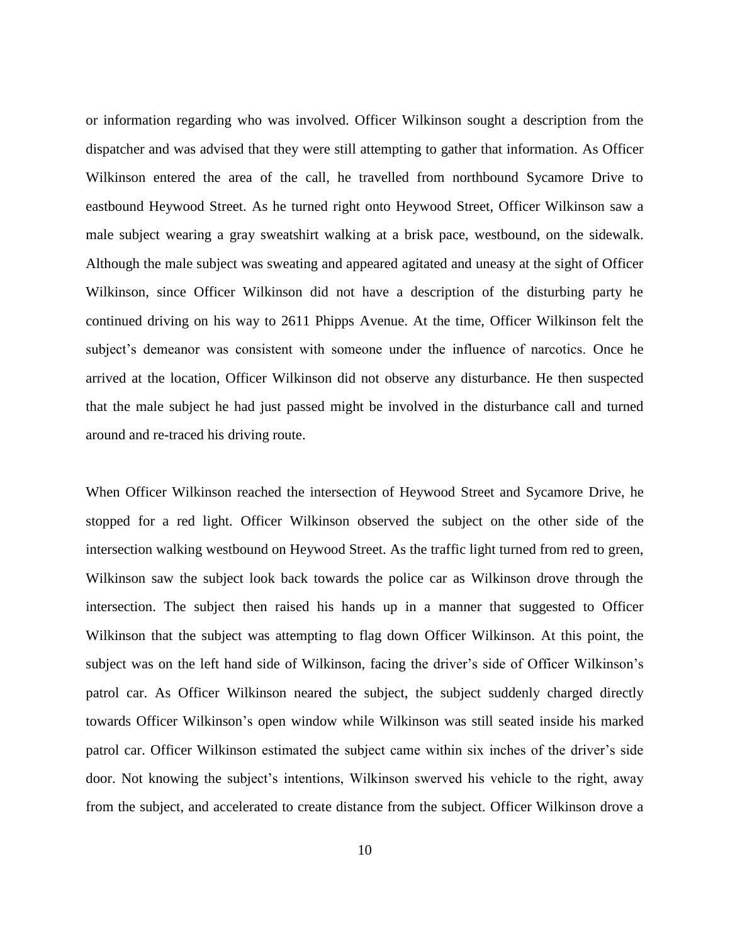or information regarding who was involved. Officer Wilkinson sought a description from the dispatcher and was advised that they were still attempting to gather that information. As Officer Wilkinson entered the area of the call, he travelled from northbound Sycamore Drive to eastbound Heywood Street. As he turned right onto Heywood Street, Officer Wilkinson saw a male subject wearing a gray sweatshirt walking at a brisk pace, westbound, on the sidewalk. Although the male subject was sweating and appeared agitated and uneasy at the sight of Officer Wilkinson, since Officer Wilkinson did not have a description of the disturbing party he continued driving on his way to 2611 Phipps Avenue. At the time, Officer Wilkinson felt the subject's demeanor was consistent with someone under the influence of narcotics. Once he arrived at the location, Officer Wilkinson did not observe any disturbance. He then suspected that the male subject he had just passed might be involved in the disturbance call and turned around and re-traced his driving route.

When Officer Wilkinson reached the intersection of Heywood Street and Sycamore Drive, he stopped for a red light. Officer Wilkinson observed the subject on the other side of the intersection walking westbound on Heywood Street. As the traffic light turned from red to green, Wilkinson saw the subject look back towards the police car as Wilkinson drove through the intersection. The subject then raised his hands up in a manner that suggested to Officer Wilkinson that the subject was attempting to flag down Officer Wilkinson. At this point, the subject was on the left hand side of Wilkinson, facing the driver's side of Officer Wilkinson's patrol car. As Officer Wilkinson neared the subject, the subject suddenly charged directly towards Officer Wilkinson's open window while Wilkinson was still seated inside his marked patrol car. Officer Wilkinson estimated the subject came within six inches of the driver's side door. Not knowing the subject's intentions, Wilkinson swerved his vehicle to the right, away from the subject, and accelerated to create distance from the subject. Officer Wilkinson drove a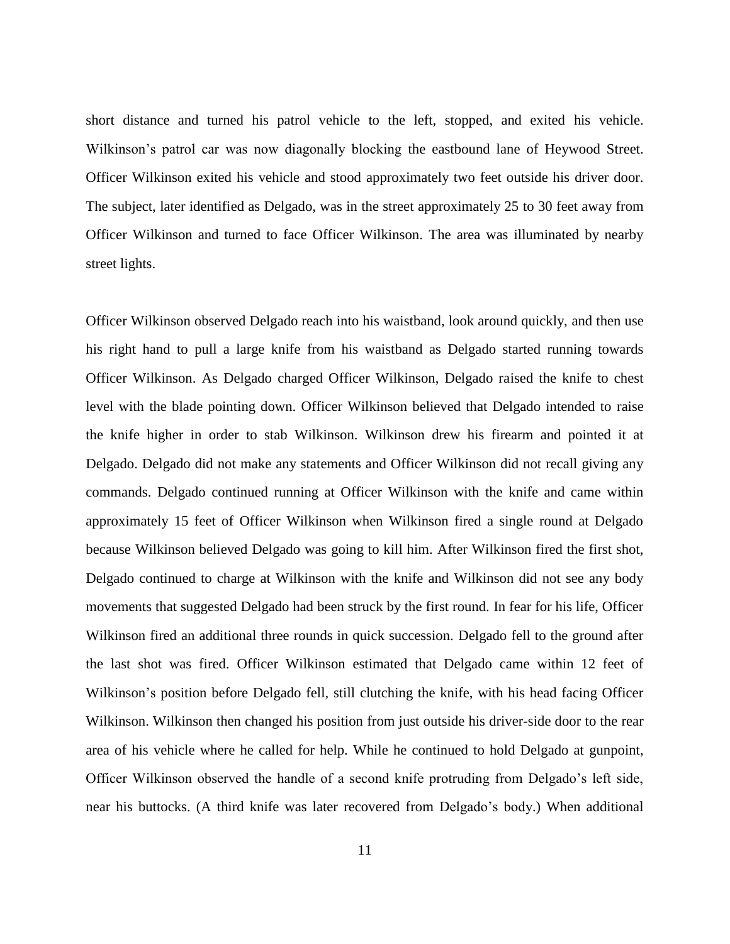short distance and turned his patrol vehicle to the left, stopped, and exited his vehicle. Wilkinson's patrol car was now diagonally blocking the eastbound lane of Heywood Street. Officer Wilkinson exited his vehicle and stood approximately two feet outside his driver door. The subject, later identified as Delgado, was in the street approximately 25 to 30 feet away from Officer Wilkinson and turned to face Officer Wilkinson. The area was illuminated by nearby street lights.

Officer Wilkinson observed Delgado reach into his waistband, look around quickly, and then use his right hand to pull a large knife from his waistband as Delgado started running towards Officer Wilkinson. As Delgado charged Officer Wilkinson, Delgado raised the knife to chest level with the blade pointing down. Officer Wilkinson believed that Delgado intended to raise the knife higher in order to stab Wilkinson. Wilkinson drew his firearm and pointed it at Delgado. Delgado did not make any statements and Officer Wilkinson did not recall giving any commands. Delgado continued running at Officer Wilkinson with the knife and came within approximately 15 feet of Officer Wilkinson when Wilkinson fired a single round at Delgado because Wilkinson believed Delgado was going to kill him. After Wilkinson fired the first shot, Delgado continued to charge at Wilkinson with the knife and Wilkinson did not see any body movements that suggested Delgado had been struck by the first round. In fear for his life, Officer Wilkinson fired an additional three rounds in quick succession. Delgado fell to the ground after the last shot was fired. Officer Wilkinson estimated that Delgado came within 12 feet of Wilkinson's position before Delgado fell, still clutching the knife, with his head facing Officer Wilkinson. Wilkinson then changed his position from just outside his driver-side door to the rear area of his vehicle where he called for help. While he continued to hold Delgado at gunpoint, Officer Wilkinson observed the handle of a second knife protruding from Delgado's left side, near his buttocks. (A third knife was later recovered from Delgado's body.) When additional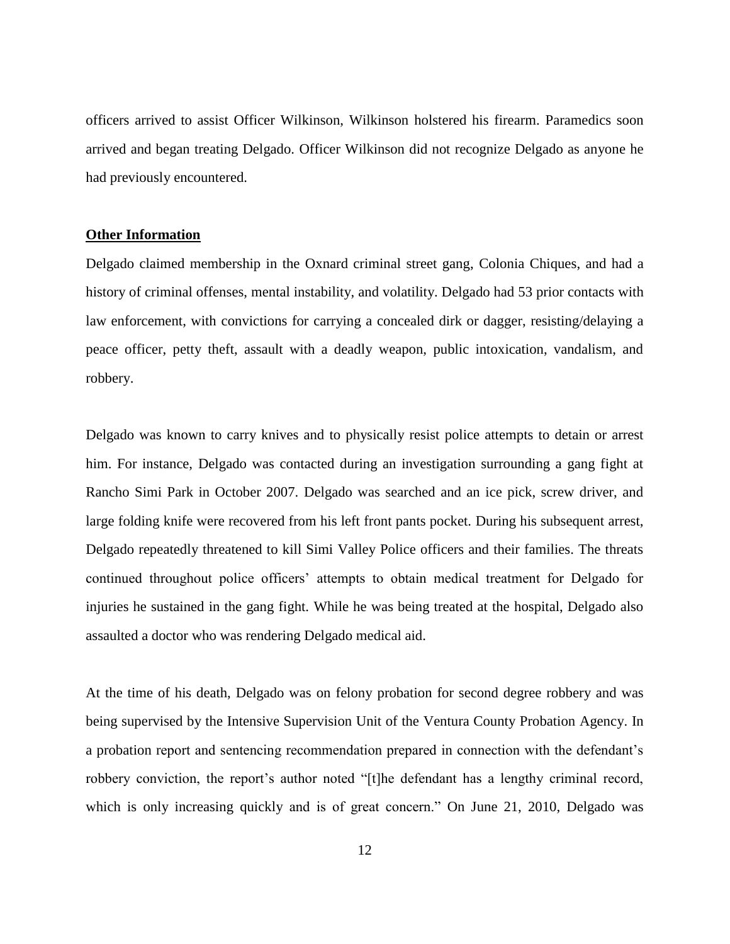officers arrived to assist Officer Wilkinson, Wilkinson holstered his firearm. Paramedics soon arrived and began treating Delgado. Officer Wilkinson did not recognize Delgado as anyone he had previously encountered.

# **Other Information**

Delgado claimed membership in the Oxnard criminal street gang, Colonia Chiques, and had a history of criminal offenses, mental instability, and volatility. Delgado had 53 prior contacts with law enforcement, with convictions for carrying a concealed dirk or dagger, resisting/delaying a peace officer, petty theft, assault with a deadly weapon, public intoxication, vandalism, and robbery.

Delgado was known to carry knives and to physically resist police attempts to detain or arrest him. For instance, Delgado was contacted during an investigation surrounding a gang fight at Rancho Simi Park in October 2007. Delgado was searched and an ice pick, screw driver, and large folding knife were recovered from his left front pants pocket. During his subsequent arrest, Delgado repeatedly threatened to kill Simi Valley Police officers and their families. The threats continued throughout police officers' attempts to obtain medical treatment for Delgado for injuries he sustained in the gang fight. While he was being treated at the hospital, Delgado also assaulted a doctor who was rendering Delgado medical aid.

At the time of his death, Delgado was on felony probation for second degree robbery and was being supervised by the Intensive Supervision Unit of the Ventura County Probation Agency. In a probation report and sentencing recommendation prepared in connection with the defendant's robbery conviction, the report's author noted "[t]he defendant has a lengthy criminal record, which is only increasing quickly and is of great concern." On June 21, 2010, Delgado was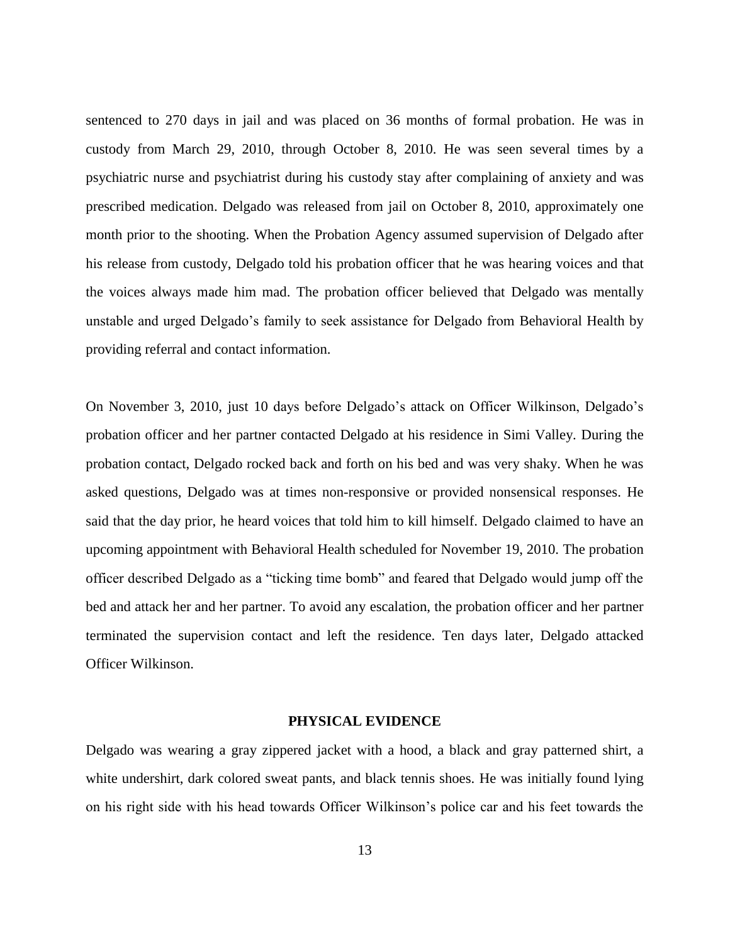sentenced to 270 days in jail and was placed on 36 months of formal probation. He was in custody from March 29, 2010, through October 8, 2010. He was seen several times by a psychiatric nurse and psychiatrist during his custody stay after complaining of anxiety and was prescribed medication. Delgado was released from jail on October 8, 2010, approximately one month prior to the shooting. When the Probation Agency assumed supervision of Delgado after his release from custody, Delgado told his probation officer that he was hearing voices and that the voices always made him mad. The probation officer believed that Delgado was mentally unstable and urged Delgado's family to seek assistance for Delgado from Behavioral Health by providing referral and contact information.

On November 3, 2010, just 10 days before Delgado's attack on Officer Wilkinson, Delgado's probation officer and her partner contacted Delgado at his residence in Simi Valley. During the probation contact, Delgado rocked back and forth on his bed and was very shaky. When he was asked questions, Delgado was at times non-responsive or provided nonsensical responses. He said that the day prior, he heard voices that told him to kill himself. Delgado claimed to have an upcoming appointment with Behavioral Health scheduled for November 19, 2010. The probation officer described Delgado as a "ticking time bomb" and feared that Delgado would jump off the bed and attack her and her partner. To avoid any escalation, the probation officer and her partner terminated the supervision contact and left the residence. Ten days later, Delgado attacked Officer Wilkinson.

#### **PHYSICAL EVIDENCE**

Delgado was wearing a gray zippered jacket with a hood, a black and gray patterned shirt, a white undershirt, dark colored sweat pants, and black tennis shoes. He was initially found lying on his right side with his head towards Officer Wilkinson's police car and his feet towards the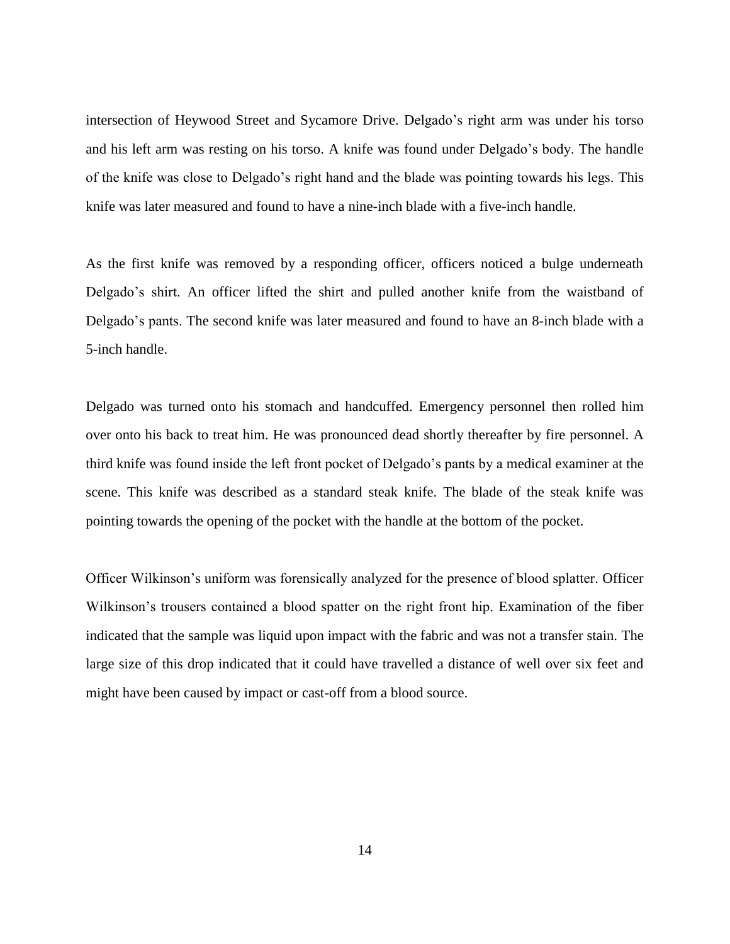intersection of Heywood Street and Sycamore Drive. Delgado's right arm was under his torso and his left arm was resting on his torso. A knife was found under Delgado's body. The handle of the knife was close to Delgado's right hand and the blade was pointing towards his legs. This knife was later measured and found to have a nine-inch blade with a five-inch handle.

As the first knife was removed by a responding officer, officers noticed a bulge underneath Delgado's shirt. An officer lifted the shirt and pulled another knife from the waistband of Delgado's pants. The second knife was later measured and found to have an 8-inch blade with a 5-inch handle.

Delgado was turned onto his stomach and handcuffed. Emergency personnel then rolled him over onto his back to treat him. He was pronounced dead shortly thereafter by fire personnel. A third knife was found inside the left front pocket of Delgado's pants by a medical examiner at the scene. This knife was described as a standard steak knife. The blade of the steak knife was pointing towards the opening of the pocket with the handle at the bottom of the pocket.

Officer Wilkinson's uniform was forensically analyzed for the presence of blood splatter. Officer Wilkinson's trousers contained a blood spatter on the right front hip. Examination of the fiber indicated that the sample was liquid upon impact with the fabric and was not a transfer stain. The large size of this drop indicated that it could have travelled a distance of well over six feet and might have been caused by impact or cast-off from a blood source.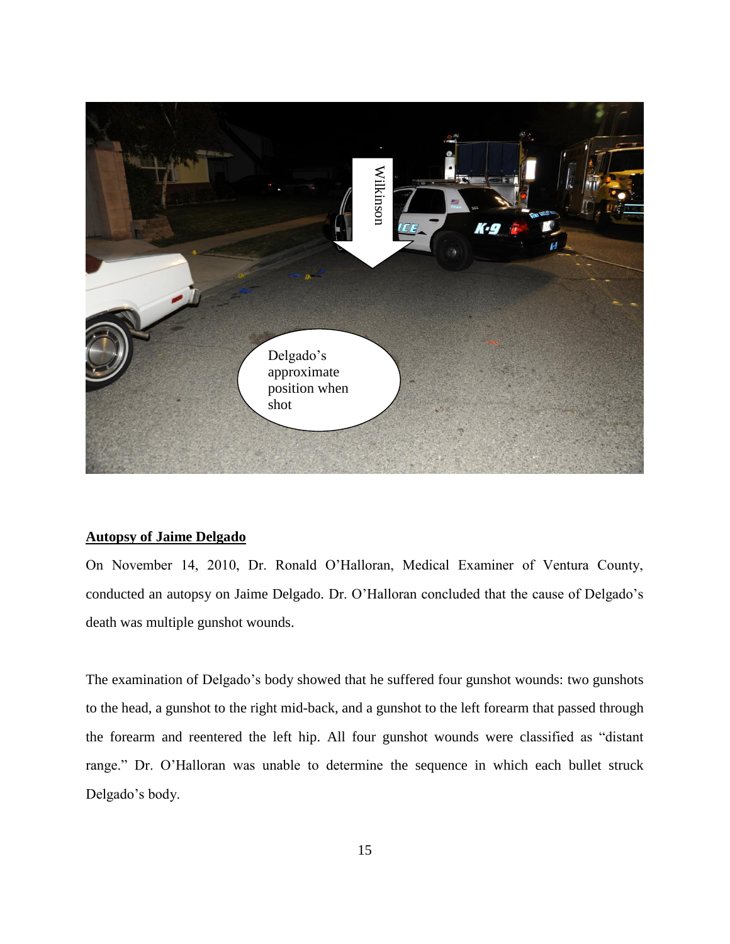

# **Autopsy of Jaime Delgado**

On November 14, 2010, Dr. Ronald O'Halloran, Medical Examiner of Ventura County, conducted an autopsy on Jaime Delgado. Dr. O'Halloran concluded that the cause of Delgado's death was multiple gunshot wounds.

The examination of Delgado's body showed that he suffered four gunshot wounds: two gunshots to the head, a gunshot to the right mid-back, and a gunshot to the left forearm that passed through the forearm and reentered the left hip. All four gunshot wounds were classified as "distant range." Dr. O'Halloran was unable to determine the sequence in which each bullet struck Delgado's body.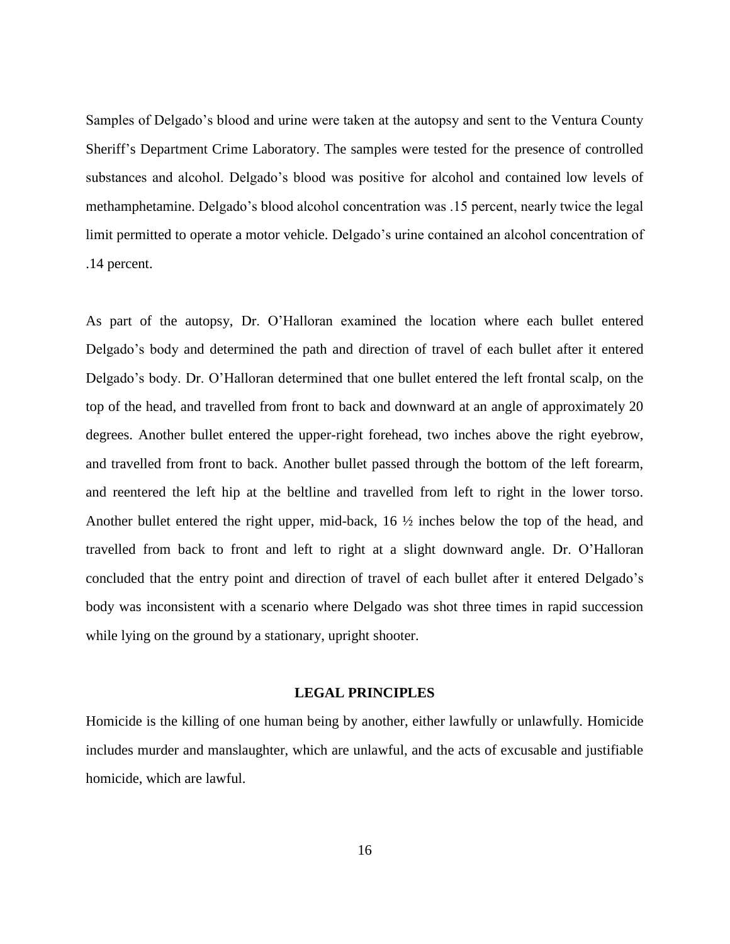Samples of Delgado's blood and urine were taken at the autopsy and sent to the Ventura County Sheriff's Department Crime Laboratory. The samples were tested for the presence of controlled substances and alcohol. Delgado's blood was positive for alcohol and contained low levels of methamphetamine. Delgado's blood alcohol concentration was .15 percent, nearly twice the legal limit permitted to operate a motor vehicle. Delgado's urine contained an alcohol concentration of .14 percent.

As part of the autopsy, Dr. O'Halloran examined the location where each bullet entered Delgado's body and determined the path and direction of travel of each bullet after it entered Delgado's body. Dr. O'Halloran determined that one bullet entered the left frontal scalp, on the top of the head, and travelled from front to back and downward at an angle of approximately 20 degrees. Another bullet entered the upper-right forehead, two inches above the right eyebrow, and travelled from front to back. Another bullet passed through the bottom of the left forearm, and reentered the left hip at the beltline and travelled from left to right in the lower torso. Another bullet entered the right upper, mid-back, 16 ½ inches below the top of the head, and travelled from back to front and left to right at a slight downward angle. Dr. O'Halloran concluded that the entry point and direction of travel of each bullet after it entered Delgado's body was inconsistent with a scenario where Delgado was shot three times in rapid succession while lying on the ground by a stationary, upright shooter.

#### **LEGAL PRINCIPLES**

Homicide is the killing of one human being by another, either lawfully or unlawfully. Homicide includes murder and manslaughter, which are unlawful, and the acts of excusable and justifiable homicide, which are lawful.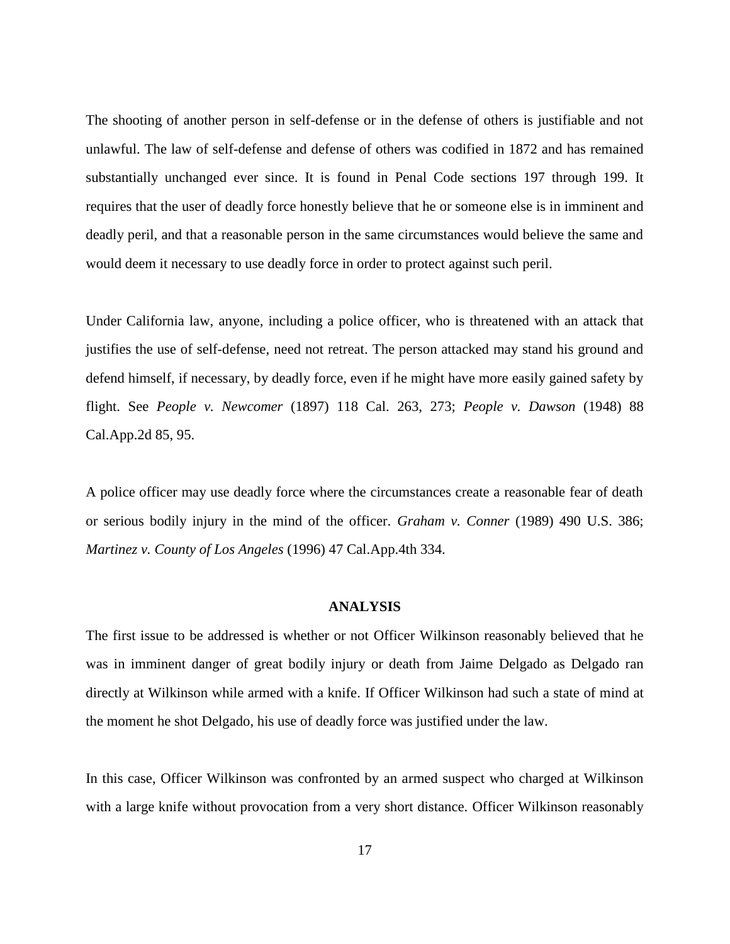The shooting of another person in self-defense or in the defense of others is justifiable and not unlawful. The law of self-defense and defense of others was codified in 1872 and has remained substantially unchanged ever since. It is found in Penal Code sections 197 through 199. It requires that the user of deadly force honestly believe that he or someone else is in imminent and deadly peril, and that a reasonable person in the same circumstances would believe the same and would deem it necessary to use deadly force in order to protect against such peril.

Under California law, anyone, including a police officer, who is threatened with an attack that justifies the use of self-defense, need not retreat. The person attacked may stand his ground and defend himself, if necessary, by deadly force, even if he might have more easily gained safety by flight. See *People v. Newcomer* (1897) 118 Cal. 263, 273; *People v. Dawson* (1948) 88 Cal.App.2d 85, 95.

A police officer may use deadly force where the circumstances create a reasonable fear of death or serious bodily injury in the mind of the officer. *Graham v. Conner* (1989) 490 U.S. 386; *Martinez v. County of Los Angeles* (1996) 47 Cal.App.4th 334.

#### **ANALYSIS**

The first issue to be addressed is whether or not Officer Wilkinson reasonably believed that he was in imminent danger of great bodily injury or death from Jaime Delgado as Delgado ran directly at Wilkinson while armed with a knife. If Officer Wilkinson had such a state of mind at the moment he shot Delgado, his use of deadly force was justified under the law.

In this case, Officer Wilkinson was confronted by an armed suspect who charged at Wilkinson with a large knife without provocation from a very short distance. Officer Wilkinson reasonably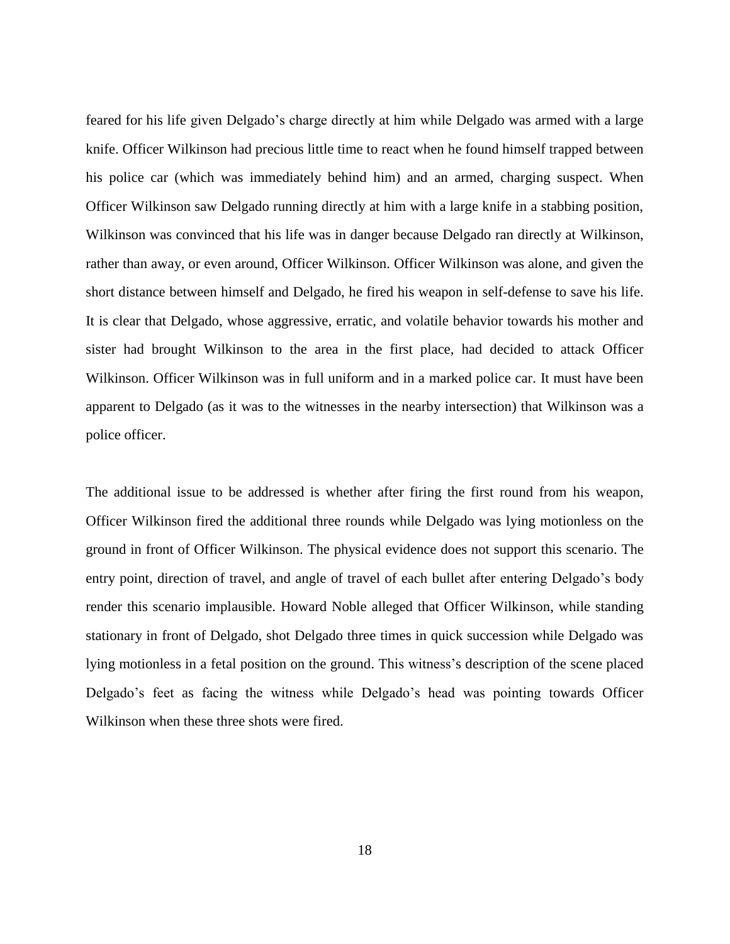feared for his life given Delgado's charge directly at him while Delgado was armed with a large knife. Officer Wilkinson had precious little time to react when he found himself trapped between his police car (which was immediately behind him) and an armed, charging suspect. When Officer Wilkinson saw Delgado running directly at him with a large knife in a stabbing position, Wilkinson was convinced that his life was in danger because Delgado ran directly at Wilkinson, rather than away, or even around, Officer Wilkinson. Officer Wilkinson was alone, and given the short distance between himself and Delgado, he fired his weapon in self-defense to save his life. It is clear that Delgado, whose aggressive, erratic, and volatile behavior towards his mother and sister had brought Wilkinson to the area in the first place, had decided to attack Officer Wilkinson. Officer Wilkinson was in full uniform and in a marked police car. It must have been apparent to Delgado (as it was to the witnesses in the nearby intersection) that Wilkinson was a police officer.

The additional issue to be addressed is whether after firing the first round from his weapon, Officer Wilkinson fired the additional three rounds while Delgado was lying motionless on the ground in front of Officer Wilkinson. The physical evidence does not support this scenario. The entry point, direction of travel, and angle of travel of each bullet after entering Delgado's body render this scenario implausible. Howard Noble alleged that Officer Wilkinson, while standing stationary in front of Delgado, shot Delgado three times in quick succession while Delgado was lying motionless in a fetal position on the ground. This witness's description of the scene placed Delgado's feet as facing the witness while Delgado's head was pointing towards Officer Wilkinson when these three shots were fired.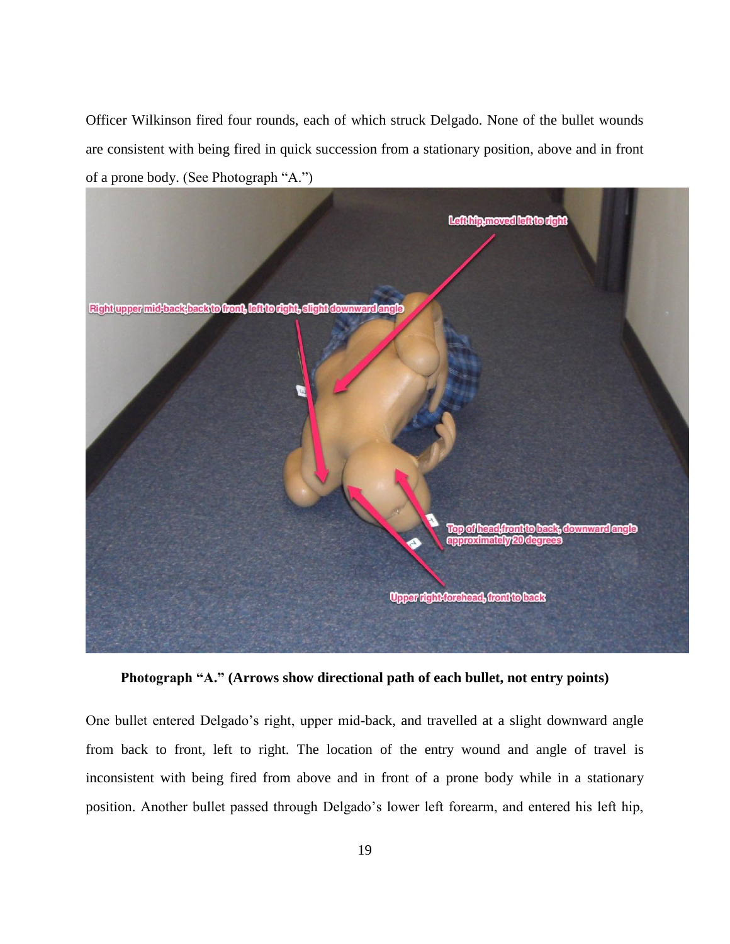Officer Wilkinson fired four rounds, each of which struck Delgado. None of the bullet wounds are consistent with being fired in quick succession from a stationary position, above and in front of a prone body. (See Photograph "A.")



**Photograph "A." (Arrows show directional path of each bullet, not entry points)**

One bullet entered Delgado's right, upper mid-back, and travelled at a slight downward angle from back to front, left to right. The location of the entry wound and angle of travel is inconsistent with being fired from above and in front of a prone body while in a stationary position. Another bullet passed through Delgado's lower left forearm, and entered his left hip,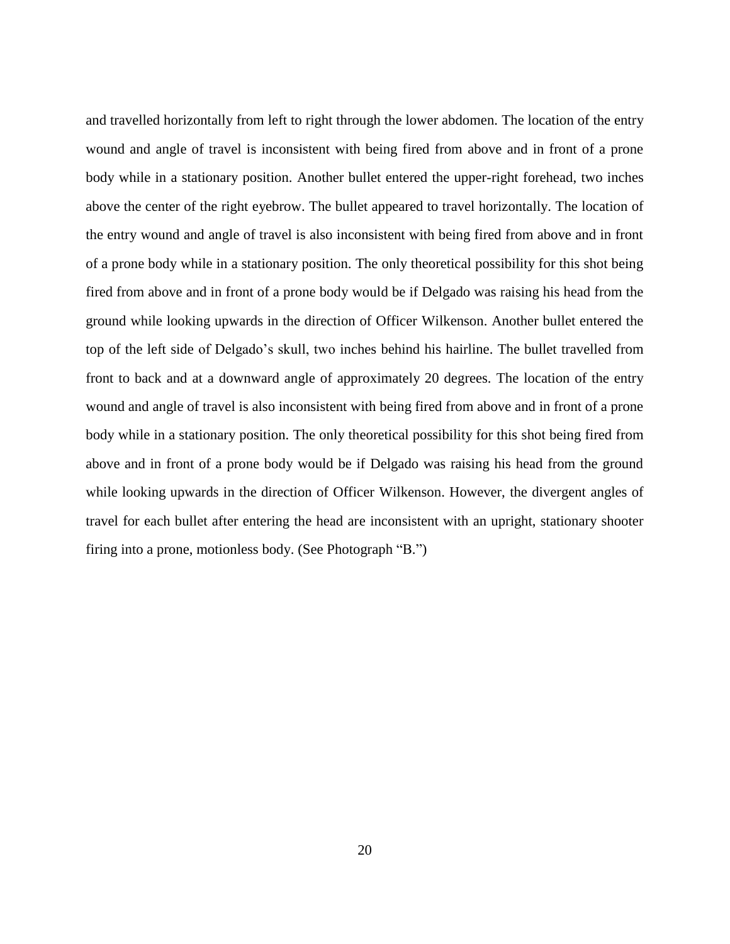and travelled horizontally from left to right through the lower abdomen. The location of the entry wound and angle of travel is inconsistent with being fired from above and in front of a prone body while in a stationary position. Another bullet entered the upper-right forehead, two inches above the center of the right eyebrow. The bullet appeared to travel horizontally. The location of the entry wound and angle of travel is also inconsistent with being fired from above and in front of a prone body while in a stationary position. The only theoretical possibility for this shot being fired from above and in front of a prone body would be if Delgado was raising his head from the ground while looking upwards in the direction of Officer Wilkenson. Another bullet entered the top of the left side of Delgado's skull, two inches behind his hairline. The bullet travelled from front to back and at a downward angle of approximately 20 degrees. The location of the entry wound and angle of travel is also inconsistent with being fired from above and in front of a prone body while in a stationary position. The only theoretical possibility for this shot being fired from above and in front of a prone body would be if Delgado was raising his head from the ground while looking upwards in the direction of Officer Wilkenson. However, the divergent angles of travel for each bullet after entering the head are inconsistent with an upright, stationary shooter firing into a prone, motionless body. (See Photograph "B.")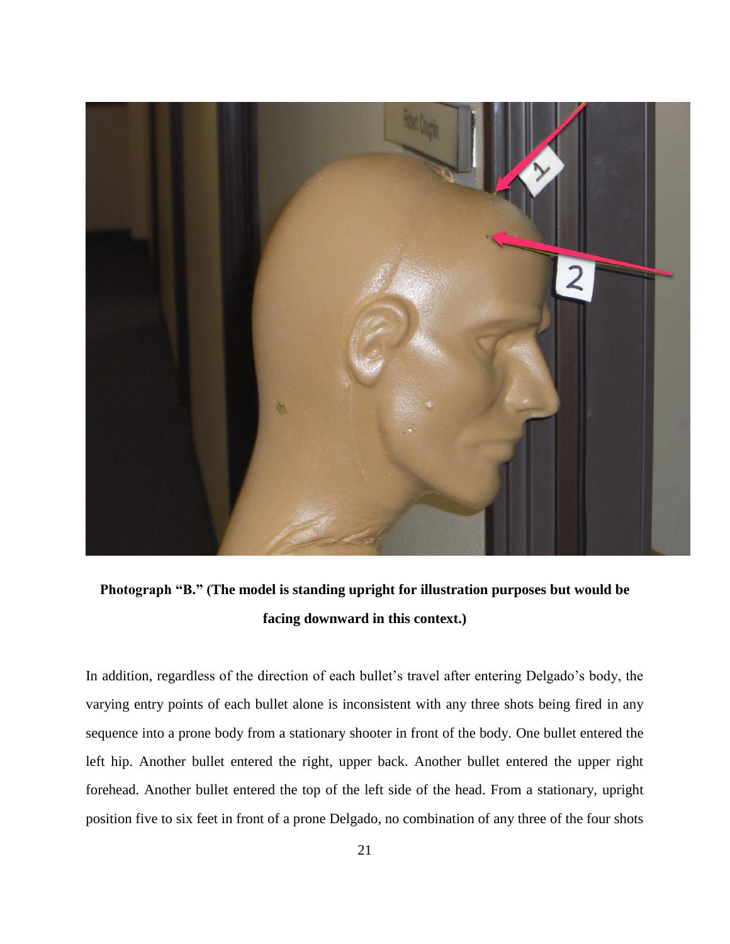

**Photograph "B." (The model is standing upright for illustration purposes but would be facing downward in this context.)** 

In addition, regardless of the direction of each bullet's travel after entering Delgado's body, the varying entry points of each bullet alone is inconsistent with any three shots being fired in any sequence into a prone body from a stationary shooter in front of the body. One bullet entered the left hip. Another bullet entered the right, upper back. Another bullet entered the upper right forehead. Another bullet entered the top of the left side of the head. From a stationary, upright position five to six feet in front of a prone Delgado, no combination of any three of the four shots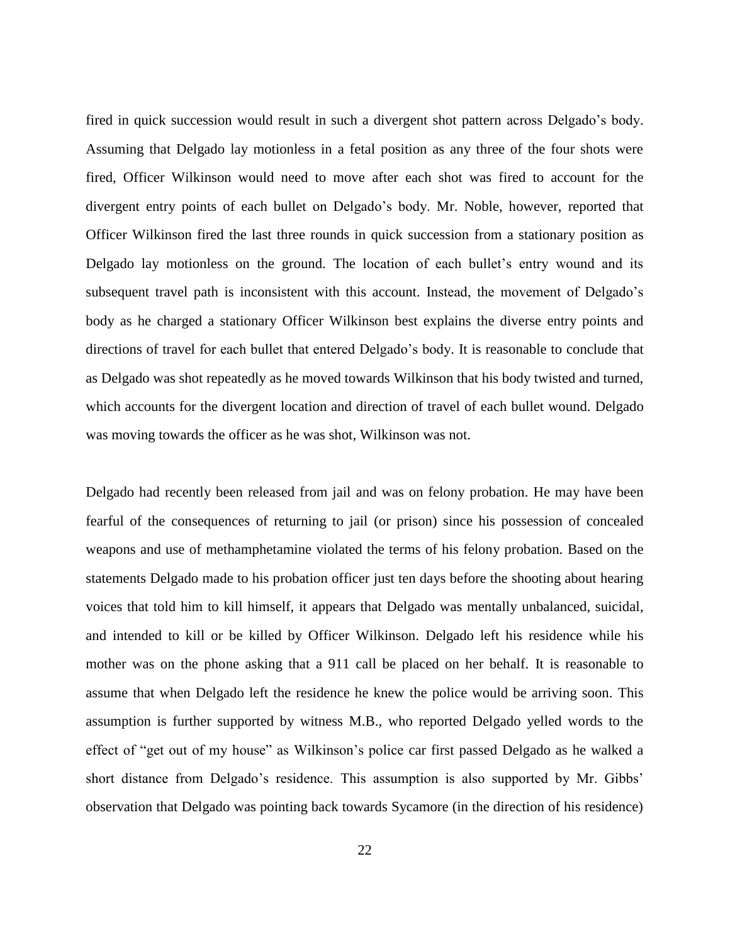fired in quick succession would result in such a divergent shot pattern across Delgado's body. Assuming that Delgado lay motionless in a fetal position as any three of the four shots were fired, Officer Wilkinson would need to move after each shot was fired to account for the divergent entry points of each bullet on Delgado's body. Mr. Noble, however, reported that Officer Wilkinson fired the last three rounds in quick succession from a stationary position as Delgado lay motionless on the ground. The location of each bullet's entry wound and its subsequent travel path is inconsistent with this account. Instead, the movement of Delgado's body as he charged a stationary Officer Wilkinson best explains the diverse entry points and directions of travel for each bullet that entered Delgado's body. It is reasonable to conclude that as Delgado was shot repeatedly as he moved towards Wilkinson that his body twisted and turned, which accounts for the divergent location and direction of travel of each bullet wound. Delgado was moving towards the officer as he was shot, Wilkinson was not.

Delgado had recently been released from jail and was on felony probation. He may have been fearful of the consequences of returning to jail (or prison) since his possession of concealed weapons and use of methamphetamine violated the terms of his felony probation. Based on the statements Delgado made to his probation officer just ten days before the shooting about hearing voices that told him to kill himself, it appears that Delgado was mentally unbalanced, suicidal, and intended to kill or be killed by Officer Wilkinson. Delgado left his residence while his mother was on the phone asking that a 911 call be placed on her behalf. It is reasonable to assume that when Delgado left the residence he knew the police would be arriving soon. This assumption is further supported by witness M.B., who reported Delgado yelled words to the effect of "get out of my house" as Wilkinson's police car first passed Delgado as he walked a short distance from Delgado's residence. This assumption is also supported by Mr. Gibbs' observation that Delgado was pointing back towards Sycamore (in the direction of his residence)